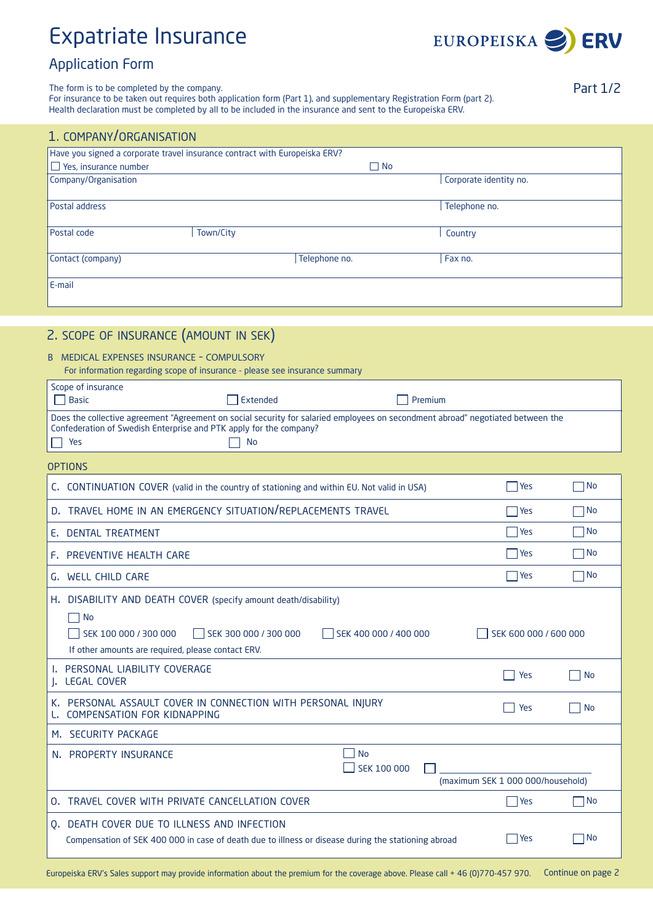# Expatriate Insurance



## Application Form

The form is to be completed by the company.

For insurance to be taken out requires both application form (Part 1), and supplementary Registration Form (part 2). Health declaration must be completed by all to be included in the insurance and sent to the Europeiska ERV.

| 1. COMPANY/ORGANISATION      |                                                                            |                        |
|------------------------------|----------------------------------------------------------------------------|------------------------|
|                              | Have you signed a corporate travel insurance contract with Europeiska ERV? |                        |
| $\Box$ Yes, insurance number |                                                                            | $\Box$ No              |
| Company/Organisation         |                                                                            | Corporate identity no. |
| Postal address               |                                                                            | Telephone no.          |
| Postal code                  | Town/City                                                                  | Country                |
| Contact (company)            | Telephone no.                                                              | Fax no.                |
| E-mail                       |                                                                            |                        |
|                              |                                                                            |                        |

## 2. scope of insurance (amount in sek)

#### b medical expenses insurance - compulsory

| For information regarding scope of insurance - please see insurance summary |  |
|-----------------------------------------------------------------------------|--|
|-----------------------------------------------------------------------------|--|

| Scope of insurance                                                                                                              |          |         |  |  |
|---------------------------------------------------------------------------------------------------------------------------------|----------|---------|--|--|
| Basic                                                                                                                           | Extended | Premium |  |  |
| Does the collective agreement "Agreement on social security for salaried employees on secondment abroad" negotiated between the |          |         |  |  |
| Confederation of Swedish Enterprise and PTK apply for the company?                                                              |          |         |  |  |
| Yes                                                                                                                             | - No     |         |  |  |
| <b>OPTIONS</b>                                                                                                                  |          |         |  |  |

| C. CONTINUATION COVER (valid in the country of stationing and within EU. Not valid in USA)                                                            | Yes                               | ∏No       |
|-------------------------------------------------------------------------------------------------------------------------------------------------------|-----------------------------------|-----------|
| D. TRAVEL HOME IN AN EMERGENCY SITUATION/REPLACEMENTS TRAVEL                                                                                          | Yes                               | $\neg$ No |
| E. DENTAL TREATMENT                                                                                                                                   | Yes                               | $\neg$ No |
| F. PREVENTIVE HEALTH CARE                                                                                                                             | Yes                               | $\neg$ No |
| G. WELL CHILD CARE                                                                                                                                    | Yes                               | $\neg$ No |
| DISABILITY AND DEATH COVER (specify amount death/disability)<br>Н.<br>$\Box$ No                                                                       |                                   |           |
| SEK 100 000 / 300 000<br>SEK 300 000 / 300 000<br>SEK 400 000 / 400 000<br>If other amounts are required, please contact ERV.                         | SEK 600 000 / 600 000             |           |
| I. PERSONAL LIABILITY COVERAGE<br>J. LEGAL COVER                                                                                                      | Yes                               | No        |
| K. PERSONAL ASSAULT COVER IN CONNECTION WITH PERSONAL INJURY<br>COMPENSATION FOR KIDNAPPING                                                           | Yes                               | <b>No</b> |
| M. SECURITY PACKAGE                                                                                                                                   |                                   |           |
| <b>No</b><br>N. PROPERTY INSURANCE<br>SEK 100 000                                                                                                     | (maximum SEK 1 000 000/household) |           |
| TRAVEL COVER WITH PRIVATE CANCELLATION COVER<br>$\Omega$ .                                                                                            | Yes                               | $\neg$ No |
| DEATH COVER DUE TO ILLNESS AND INFECTION<br>0.<br>Compensation of SEK 400 000 in case of death due to illness or disease during the stationing abroad | <b>Yes</b>                        | No<br>- 1 |
|                                                                                                                                                       |                                   |           |